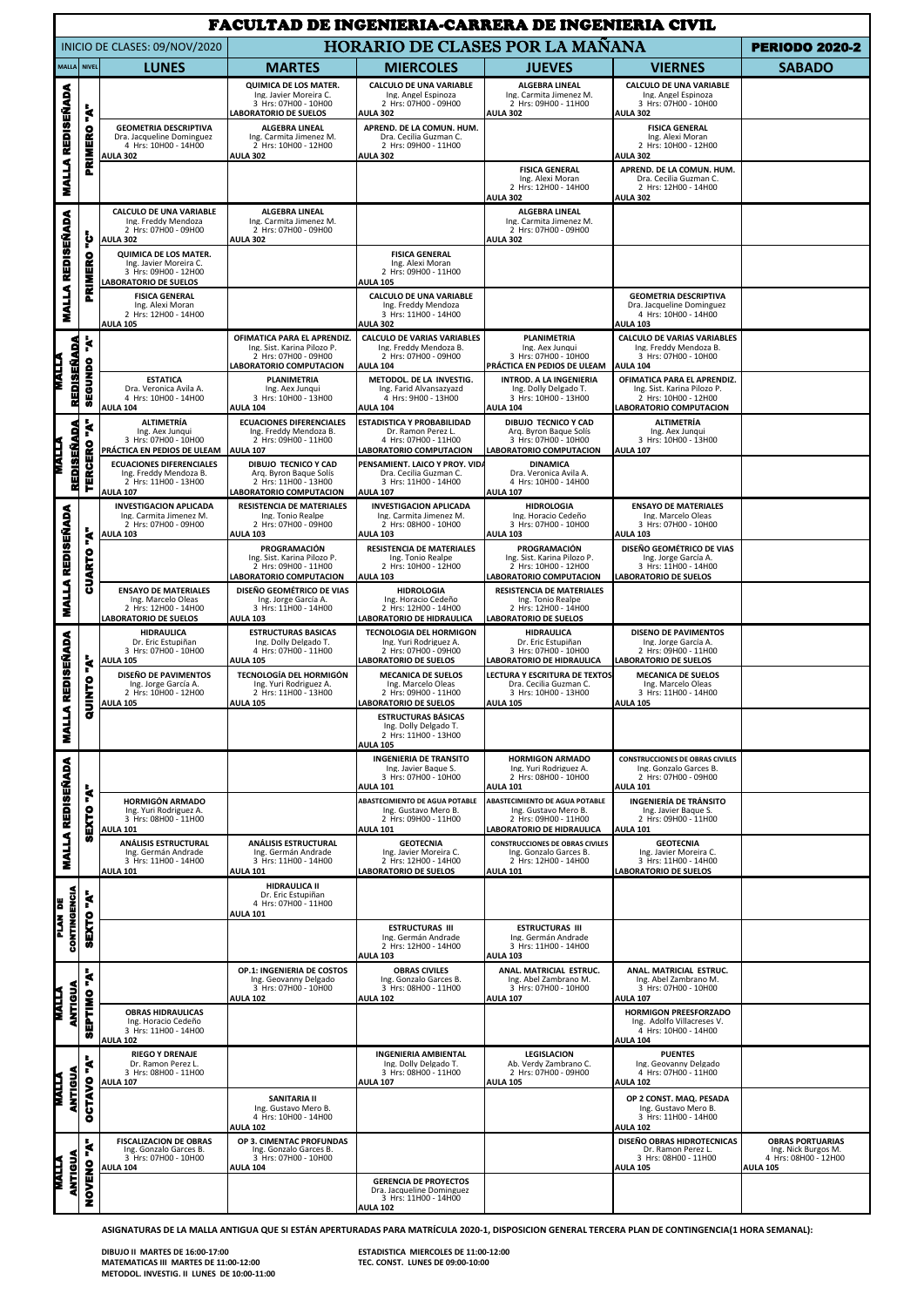|                                                    | <b>FACULTAD DE INGENIERIA-CARRERA DE INGENIERIA CIVIL</b> |                                                                                                           |                                                                                                                |                                                                                                           |                                                                                                                    |                                                                                                                     |                                                                                           |  |  |  |
|----------------------------------------------------|-----------------------------------------------------------|-----------------------------------------------------------------------------------------------------------|----------------------------------------------------------------------------------------------------------------|-----------------------------------------------------------------------------------------------------------|--------------------------------------------------------------------------------------------------------------------|---------------------------------------------------------------------------------------------------------------------|-------------------------------------------------------------------------------------------|--|--|--|
| INICIO DE CLASES: 09/NOV/2020                      |                                                           |                                                                                                           | <b>HORARIO DE CLASES POR LA MAÑANA</b>                                                                         |                                                                                                           |                                                                                                                    |                                                                                                                     | <b>PERIODO 2020-2</b>                                                                     |  |  |  |
|                                                    | MALLA NIVEL                                               | <b>LUNES</b>                                                                                              | <b>MARTES</b>                                                                                                  | <b>MIERCOLES</b>                                                                                          | <b>JUEVES</b>                                                                                                      | <b>VIERNES</b>                                                                                                      | <b>SABADO</b>                                                                             |  |  |  |
| <b>REDISEÑADA</b><br><b>MALLA</b>                  | ķ                                                         |                                                                                                           | <b>QUIMICA DE LOS MATER.</b><br>Ing. Javier Moreira C.<br>3 Hrs: 07H00 - 10H00<br>LABORATORIO DE SUELOS        | <b>CALCULO DE UNA VARIABLE</b><br>Ing. Angel Espinoza<br>2 Hrs: 07H00 - 09H00<br><b>AULA 302</b>          | <b>ALGEBRA LINEAL</b><br>Ing. Carmita Jimenez M.<br>2 Hrs: 09H00 - 11H00<br><b>AULA 302</b>                        | <b>CALCULO DE UNA VARIABLE</b><br>Ing. Angel Espinoza<br>3 Hrs: 07H00 - 10H00<br><b>AULA 302</b>                    |                                                                                           |  |  |  |
|                                                    | PRIMERO                                                   | <b>GEOMETRIA DESCRIPTIVA</b><br>Dra. Jacqueline Dominguez<br>4 Hrs: 10H00 - 14H00<br><b>AULA 302</b>      | <b>ALGEBRA LINEAL</b><br>Ing. Carmita Jimenez M.<br>2 Hrs: 10H00 - 12H00<br><b>AULA 302</b>                    | APREND. DE LA COMUN. HUM.<br>Dra. Cecilia Guzman C.<br>2 Hrs: 09H00 - 11H00<br><b>AULA 302</b>            |                                                                                                                    | <b>FISICA GENERAL</b><br>Ing. Alexi Moran<br>2 Hrs: 10H00 - 12H00<br><b>AULA 302</b>                                |                                                                                           |  |  |  |
|                                                    |                                                           |                                                                                                           |                                                                                                                |                                                                                                           | <b>FISICA GENERAL</b><br>Ing. Alexi Moran<br>2 Hrs: 12H00 - 14H00<br><b>AULA 302</b>                               | APREND. DE LA COMUN. HUM.<br>Dra. Cecilia Guzman C.<br>2 Hrs: 12H00 - 14H00<br><b>AULA 302</b>                      |                                                                                           |  |  |  |
| <b>MALLA REDISEÑADA</b>                            | þ                                                         | <b>CALCULO DE UNA VARIABLE</b><br>Ing. Freddy Mendoza<br>2 Hrs: 07H00 - 09H00<br><b>AULA 302</b>          | <b>ALGEBRA LINEAL</b><br>Ing. Carmita Jimenez M.<br>2 Hrs: 07H00 - 09H00<br><b>AULA 302</b>                    |                                                                                                           | <b>ALGEBRA LINEAL</b><br>Ing. Carmita Jimenez M.<br>2 Hrs: 07H00 - 09H00<br><b>AULA 302</b>                        |                                                                                                                     |                                                                                           |  |  |  |
|                                                    | PRIMERO                                                   | QUIMICA DE LOS MATER.<br>Ing. Javier Moreira C.<br>3 Hrs: 09H00 - 12H00<br>LABORATORIO DE SUELOS          |                                                                                                                | <b>FISICA GENERAL</b><br>Ing. Alexi Moran<br>2 Hrs: 09H00 - 11H00<br><b>AULA 105</b>                      |                                                                                                                    |                                                                                                                     |                                                                                           |  |  |  |
|                                                    |                                                           | <b>FISICA GENERAL</b><br>Ing. Alexi Moran<br>2 Hrs: 12H00 - 14H00<br><b>AULA 105</b>                      |                                                                                                                | CALCULO DE UNA VARIABLE<br>Ing. Freddy Mendoza<br>3 Hrs: 11H00 - 14H00<br><b>AULA 302</b>                 |                                                                                                                    | <b>GEOMETRIA DESCRIPTIVA</b><br>Dra. Jacqueline Dominguez<br>4 Hrs: 10H00 - 14H00<br><b>AULA 103</b>                |                                                                                           |  |  |  |
| REDISEÑADA<br>MALLA                                | k<br><b>SEGUNDO</b>                                       |                                                                                                           | OFIMATICA PARA EL APRENDIZ.<br>Ing. Sist. Karina Pilozo P.<br>2 Hrs: 07H00 - 09H00<br>LABORATORIO COMPUTACION  | <b>CALCULO DE VARIAS VARIABLES</b><br>Ing. Freddy Mendoza B.<br>2 Hrs: 07H00 - 09H00<br><b>AULA 104</b>   | PLANIMETRÍA<br>Ing. Aex Junqui<br>3 Hrs: 07H00 - 10H00<br>PRÁCTICA EN PEDIOS DE ULEAM                              | CALCULO DE VARIAS VARIABLES<br>Ing. Freddy Mendoza B.<br>3 Hrs: 07H00 - 10H00<br><b>AULA 104</b>                    |                                                                                           |  |  |  |
|                                                    |                                                           | <b>ESTATICA</b><br>Dra. Veronica Avila A.<br>4 Hrs: 10H00 - 14H00<br><b>AULA 104</b>                      | PLANIMETRÍA<br>Ing. Aex Junqui<br>3 Hrs: 10H00 - 13H00<br><b>AULA 104</b>                                      | METODOL. DE LA INVESTIG.<br>Ing. Farid Alvansazyazd<br>4 Hrs: 9H00 - 13H00<br><b>AULA 104</b>             | <b>INTROD. A LA INGENIERIA</b><br>Ing. Dolly Delgado T.<br>3 Hrs: 10H00 - 13H00<br><b>AULA 104</b>                 | OFIMATICA PARA EL APRENDIZ.<br>Ing. Sist. Karina Pilozo P.<br>2 Hrs: 10H00 - 12H00<br><b>ABORATORIO COMPUTACION</b> |                                                                                           |  |  |  |
| <b>REDISEÑADA</b><br><b>TIVA</b>                   | ķ                                                         | <b>ALTIMETRÍA</b><br>Ing. Aex Junqui<br>3 Hrs: 07H00 - 10H00<br>PRÁCTICA EN PEDIOS DE ULEAM               | <b>ECUACIONES DIFERENCIALES</b><br>Ing. Freddy Mendoza B.<br>2 Hrs: 09H00 - 11H00<br><b>AULA 107</b>           | ESTADISTICA Y PROBABILIDAD<br>Dr. Ramon Perez L.<br>4 Hrs: 07H00 - 11H00<br><b>ABORATORIO COMPUTACION</b> | DIBUJO TECNICO Y CAD<br>Arg. Byron Baque Solís<br>3 Hrs: 07H00 - 10H00<br>LABORATORIO COMPUTACION                  | <b>ALTIMETRÍA</b><br>Ing. Aex Junqui<br>3 Hrs: 10H00 - 13H00<br><b>AULA 107</b>                                     |                                                                                           |  |  |  |
|                                                    | TERCERO                                                   | <b>ECUACIONES DIFERENCIALES</b><br>Ing. Freddy Mendoza B.<br>2 Hrs: 11H00 - 13H00<br><b>AULA 107</b>      | <b>DIBUJO TECNICO Y CAD</b><br>Arg. Byron Baque Solís<br>2 Hrs: 11H00 - 13H00<br><b>ABORATORIO COMPUTACION</b> | PENSAMIENT, LAICO Y PROY, VID/<br>Dra. Cecilia Guzman C.<br>3 Hrs: 11H00 - 14H00<br><b>AULA 107</b>       | <b>DINAMICA</b><br>Dra. Veronica Avila A.<br>4 Hrs: 10H00 - 14H00<br><b>AULA 107</b>                               |                                                                                                                     |                                                                                           |  |  |  |
| <b>MALLA REDISEÑADA</b>                            | ķ                                                         | <b>INVESTIGACION APLICADA</b><br>Ing. Carmita Jimenez M.<br>2 Hrs: 07H00 - 09H00<br><b>AULA 103</b>       | <b>RESISTENCIA DE MATERIALES</b><br>Ing. Tonio Realpe<br>2 Hrs: 07H00 - 09H00<br><b>AULA 103</b>               | <b>INVESTIGACION APLICADA</b><br>Ing. Carmita Jimenez M.<br>2 Hrs: 08H00 - 10H00<br><b>AULA 103</b>       | <b>HIDROLOGIA</b><br>Ing. Horacio Cedeño<br>3 Hrs: 07H00 - 10H00<br><b>AULA 103</b>                                | <b>ENSAYO DE MATERIALES</b><br>Ing. Marcelo Oleas<br>3 Hrs: 07H00 - 10H00<br><b>AULA 103</b>                        |                                                                                           |  |  |  |
|                                                    | CUARTO                                                    |                                                                                                           | PROGRAMACIÓN<br>Ing. Sist. Karina Pilozo P.<br>2 Hrs: 09H00 - 11H00<br><b>ABORATORIO COMPUTACION</b>           | <b>RESISTENCIA DE MATERIALES</b><br>Ing. Tonio Realpe<br>2 Hrs: 10H00 - 12H00<br><b>AULA 103</b>          | PROGRAMACIÓN<br>Ing. Sist. Karina Pilozo P.<br>2 Hrs: 10H00 - 12H00<br>LABORATORIO COMPUTACION                     | DISEÑO GEOMÉTRICO DE VIAS<br>Ing. Jorge García A.<br>3 Hrs: 11H00 - 14H00<br>LABORATORIO DE SUELOS                  |                                                                                           |  |  |  |
|                                                    |                                                           | <b>ENSAYO DE MATERIALES</b><br>Ing. Marcelo Oleas<br>2 Hrs: 12H00 - 14H00<br><b>LABORATORIO DE SUELOS</b> | DISEÑO GEOMÉTRICO DE VIAS<br>Ing. Jorge García A.<br>3 Hrs: 11H00 - 14H00<br><b>AULA 103</b>                   | <b>HIDROLOGIA</b><br>Ing. Horacio Cedeño<br>2 Hrs: 12H00 - 14H00<br><b>ABORATORIO DE HIDRAULICA</b>       | <b>RESISTENCIA DE MATERIALES</b><br>Ing. Tonio Realpe<br>2 Hrs: 12H00 - 14H00<br>LABORATORIO DE SUELOS             |                                                                                                                     |                                                                                           |  |  |  |
| REDISEÑADA                                         | k                                                         | <b>HIDRAULICA</b><br>Dr. Eric Estupiñan<br>3 Hrs: 07H00 - 10H00<br><b>AULA 105</b>                        | <b>ESTRUCTURAS BÁSICAS</b><br>Ing. Dolly Delgado T.<br>4 Hrs: 07H00 - 11H00<br><b>AULA 105</b>                 | TECNOLOGÍA DEL HORMIGÓN<br>Ing. Yuri Rodriguez A.<br>2 Hrs: 07H00 - 09H00<br>LABORATORIO DE SUELOS        | <b>HIDRAULICA</b><br>Dr. Eric Estupiñan<br>3 Hrs: 07H00 - 10H00<br>LABORATORIO DE HIDRAULICA                       | DISEÑO DE PAVIMENTOS<br>Ing. Jorge García A.<br>2 Hrs: 09H00 - 11H00<br><b>LABORATORIO DE SUELOS</b>                |                                                                                           |  |  |  |
|                                                    | <b>POINTO</b>                                             | DISEÑO DE PAVIMENTOS<br>Ing. Jorge García A.<br>2 Hrs: 10H00 - 12H00<br><b>AULA 105</b>                   | <b>TECNOLOGÍA DEL HORMIGÓN</b><br>Ing. Yuri Rodriguez A.<br>2 Hrs: 11H00 - 13H00<br><b>AULA 105</b>            | <b>MECANICA DE SUELOS</b><br>Ing. Marcelo Oleas<br>2 Hrs: 09H00 - 11H00<br>LABORATORIO DE SUELOS          | <b>LECTURA Y ESCRITURA DE TEXTOS</b><br>Dra. Cecilia Guzman C.<br>3 Hrs: 10H00 - 13H00<br><b>AULA 105</b>          | <b>MECANICA DE SUELOS</b><br>Ing. Marcelo Oleas<br>3 Hrs: 11H00 - 14H00<br><b>AULA 105</b>                          |                                                                                           |  |  |  |
| ₫<br>¥                                             |                                                           |                                                                                                           |                                                                                                                | <b>ESTRUCTURAS BASICAS</b><br>Ing. Dolly Delgado T.<br>2 Hrs: 11H00 - 13H00<br><b>AULA 105</b>            |                                                                                                                    |                                                                                                                     |                                                                                           |  |  |  |
|                                                    |                                                           |                                                                                                           |                                                                                                                | <b>INGENIERÍA DE TRÁNSITO</b><br>Ing. Javier Baque S.<br>3 Hrs: 07H00 - 10H00<br><b>AULA 101</b>          | <b>HORMIGÓN ARMADO</b><br>Ing. Yuri Rodriguez A.<br>2 Hrs: 08H00 - 10H00<br><b>AULA 101</b>                        | <b>CONSTRUCCIONES DE OBRAS CIVILES</b><br>Ing. Gonzalo Garces B.<br>2 Hrs: 07H00 - 09H00<br><b>AULA 101</b>         |                                                                                           |  |  |  |
| <b>MALLA REDISEÑADA</b>                            | k<br><b>SEXTO</b>                                         | <b>HORMIGÓN ARMADO</b><br>Ing. Yuri Rodriguez A.<br>3 Hrs: 08H00 - 11H00<br><b>AULA 101</b>               |                                                                                                                | <b>ABASTECIMIENTO DE AGUA POTABLE</b><br>Ing. Gustavo Mero B.<br>2 Hrs: 09H00 - 11H00<br><b>AULA 101</b>  | <b>ABASTECIMIENTO DE AGUA POTABLE</b><br>Ing. Gustavo Mero B.<br>2 Hrs: 09H00 - 11H00<br>LABORATORIO DE HIDRAULICA | <b>INGENIERÍA DE TRÁNSITO</b><br>Ing. Javier Baque S.<br>2 Hrs: 09H00 - 11H00<br><b>AULA 101</b>                    |                                                                                           |  |  |  |
|                                                    |                                                           | ANÁLISIS ESTRUCTURAL<br>Ing. Germán Andrade<br>3 Hrs: 11H00 - 14H00<br><b>AULA 101</b>                    | <b>ANÁLISIS ESTRUCTURAL</b><br>Ing. Germán Andrade<br>3 Hrs: 11H00 - 14H00<br><b>AULA 101</b>                  | <b>GEOTECNIA</b><br>Ing. Javier Moreira C.<br>2 Hrs: 12H00 - 14H00<br><b>LABORATORIO DE SUELOS</b>        | <b>CONSTRUCCIONES DE OBRAS CIVILES</b><br>Ing. Gonzalo Garces B.<br>2 Hrs: 12H00 - 14H00<br><b>AULA 101</b>        | <b>GEOTECNIA</b><br>Ing. Javier Moreira C.<br>3 Hrs: 11H00 - 14H00<br>LABORATORIO DE SUELOS                         |                                                                                           |  |  |  |
| PLAN DE                                            | k                                                         |                                                                                                           | <b>HIDRAULICA II</b><br>Dr. Eric Estupiñan<br>4 Hrs: 07H00 - 11H00<br><b>AULA 101</b>                          |                                                                                                           |                                                                                                                    |                                                                                                                     |                                                                                           |  |  |  |
| <b>CONTINGENCIA</b>                                | <b>SEXTO</b>                                              |                                                                                                           |                                                                                                                | <b>ESTRUCTURAS III</b><br>Ing. Germán Andrade<br>2 Hrs: 12H00 - 14H00<br><b>AULA 103</b>                  | <b>ESTRUCTURAS III</b><br>Ing. Germán Andrade<br>3 Hrs: 11H00 - 14H00<br><b>AULA 103</b>                           |                                                                                                                     |                                                                                           |  |  |  |
| ANTIGUA<br><b>MALLA</b><br>ANTIGUA<br><b>NALLA</b> | ķ<br>EPTIMO<br>ō                                          |                                                                                                           | OP.1: INGENIERIA DE COSTOS<br>Ing. Geovanny Delgado<br>3 Hrs: 07H00 - 10H00<br><b>AULA 102</b>                 | <b>OBRAS CIVILES</b><br>Ing. Gonzalo Garces B.<br>3 Hrs: 08H00 - 11H00<br><b>AULA 102</b>                 | ANAL. MATRICIAL ESTRUC.<br>Ing. Abel Zambrano M.<br>3 Hrs: 07H00 - 10H00<br><b>AULA 107</b>                        | ANAL. MATRICIAL ESTRUC.<br>Ing. Abel Zambrano M.<br>3 Hrs: 07H00 - 10H00<br><b>AULA 107</b>                         |                                                                                           |  |  |  |
|                                                    |                                                           | <b>OBRAS HIDRAULICAS</b><br>Ing. Horacio Cedeño<br>3 Hrs: 11H00 - 14H00<br><b>AULA 102</b>                |                                                                                                                |                                                                                                           |                                                                                                                    | HORMIGON PREESFORZADO<br>Ing. Adolfo Villacreses V.<br>4 Hrs: 10H00 - 14H00<br><b>AULA 104</b>                      |                                                                                           |  |  |  |
|                                                    | $\mathbf{k}$                                              | <b>RIEGO Y DRENAJE</b><br>Dr. Ramon Perez L.<br>3 Hrs: 08H00 - 11H00<br><b>AULA 107</b>                   |                                                                                                                | <b>INGENIERIA AMBIENTAL</b><br>Ing. Dolly Delgado T.<br>3 Hrs: 08H00 - 11H00<br><b>AULA 107</b>           | <b>LEGISLACION</b><br>Ab. Verdy Zambrano C.<br>2 Hrs: 07H00 - 09H00<br><b>AULA 105</b>                             | <b>PUENTES</b><br>Ing. Geovanny Delgado<br>4 Hrs: 07H00 - 11H00<br><b>AULA 102</b>                                  |                                                                                           |  |  |  |
|                                                    | OCTAVO                                                    |                                                                                                           | <b>SANITARIA II</b><br>Ing. Gustavo Mero B.<br>4 Hrs: 10H00 - 14H00<br><b>AULA 102</b>                         |                                                                                                           |                                                                                                                    | OP 2 CONST. MAQ. PESADA<br>Ing. Gustavo Mero B.<br>3 Hrs: 11H00 - 14H00<br><b>AULA 102</b>                          |                                                                                           |  |  |  |
| ANTIGUA<br><b>MALLA</b>                            | k                                                         | <b>FISCALIZACION DE OBRAS</b><br>Ing. Gonzalo Garces B.<br>3 Hrs: 07H00 - 10H00<br><b>AULA 104</b>        | OP 3. CIMENTAC PROFUNDAS<br>Ing. Gonzalo Garces B.<br>3 Hrs: 07H00 - 10H00<br><b>AULA 104</b>                  |                                                                                                           |                                                                                                                    | DISEÑO OBRAS HIDROTECNICAS<br>Dr. Ramon Perez L.<br>3 Hrs: 08H00 - 11H00<br><b>AULA 105</b>                         | <b>OBRAS PORTUARIAS</b><br>Ing. Nick Burgos M.<br>4 Hrs: 08H00 - 12H00<br><b>AULA 105</b> |  |  |  |
|                                                    | NOVENO                                                    |                                                                                                           |                                                                                                                | <b>GERENCIA DE PROYECTOS</b><br>Dra. Jacqueline Dominguez<br>3 Hrs: 11H00 - 14H00<br><b>AULA 102</b>      |                                                                                                                    |                                                                                                                     |                                                                                           |  |  |  |

**ASIGNATURAS DE LA MALLA ANTIGUA QUE SI ESTÁN APERTURADAS PARA MATRÍCULA 2020-1, DISPOSICION GENERAL TERCERA PLAN DE CONTINGENCIA(1 HORA SEMANAL):**